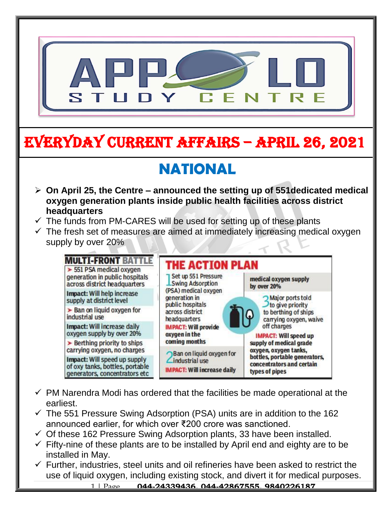

# EVERYDAY CURRENT AFFAIRS – APRIL 26, 2021

# **NATIONAL**

- **On April 25, the Centre – announced the setting up of 551dedicated medical oxygen generation plants inside public health facilities across district headquarters** ا<br>ام
- $\checkmark$  The funds from PM-CARES will be used for setting up of these plants

-

 $\checkmark$  The fresh set of measures are aimed at immediately increasing medical oxygen supply by over 20%



- $\checkmark$  PM Narendra Modi has ordered that the facilities be made operational at the earliest.
- $\checkmark$  The 551 Pressure Swing Adsorption (PSA) units are in addition to the 162 announced earlier, for which over ₹200 crore was sanctioned.
- $\checkmark$  Of these 162 Pressure Swing Adsorption plants, 33 have been installed.
- $\checkmark$  Fifty-nine of these plants are to be installed by April end and eighty are to be installed in May.
- $\checkmark$  Further, industries, steel units and oil refineries have been asked to restrict the use of liquid oxygen, including existing stock, and divert it for medical purposes.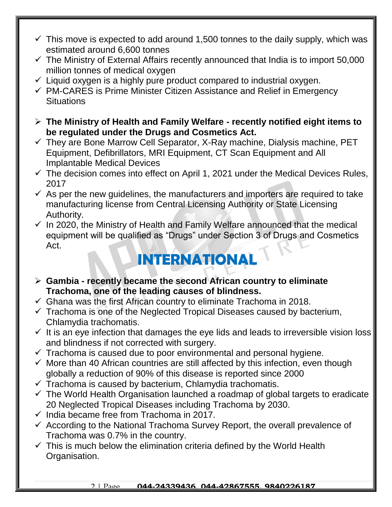- $\checkmark$  This move is expected to add around 1,500 tonnes to the daily supply, which was estimated around 6,600 tonnes
- $\checkmark$  The Ministry of External Affairs recently announced that India is to import 50,000 million tonnes of medical oxygen
- $\checkmark$  Liquid oxygen is a highly pure product compared to industrial oxygen.
- $\checkmark$  PM-CARES is Prime Minister Citizen Assistance and Relief in Emergency **Situations**
- **The Ministry of Health and Family Welfare - recently notified eight items to be regulated under the Drugs and Cosmetics Act.**
- $\checkmark$  They are Bone Marrow Cell Separator, X-Ray machine, Dialysis machine, PET Equipment, Defibrillators, MRI Equipment, CT Scan Equipment and All Implantable Medical Devices
- $\checkmark$  The decision comes into effect on April 1, 2021 under the Medical Devices Rules, 2017
- $\checkmark$  As per the new quidelines, the manufacturers and importers are required to take manufacturing license from Central Licensing Authority or State Licensing Authority.
- $\checkmark$  In 2020, the Ministry of Health and Family Welfare announced that the medical equipment will be qualified as "Drugs" under Section 3 of Drugs and Cosmetics Act.

# **INTERNATIONAL**

- **Gambia - recently became the second African country to eliminate Trachoma, one of the leading causes of blindness.**
- $\checkmark$  Ghana was the first African country to eliminate Trachoma in 2018.
- $\checkmark$  Trachoma is one of the Neglected Tropical Diseases caused by bacterium, Chlamydia trachomatis.
- $\checkmark$  It is an eye infection that damages the eye lids and leads to irreversible vision loss and blindness if not corrected with surgery.
- $\checkmark$  Trachoma is caused due to poor environmental and personal hygiene.
- $\checkmark$  More than 40 African countries are still affected by this infection, even though globally a reduction of 90% of this disease is reported since 2000
- $\checkmark$  Trachoma is caused by bacterium, Chlamydia trachomatis.
- $\checkmark$  The World Health Organisation launched a roadmap of global targets to eradicate 20 Neglected Tropical Diseases including Trachoma by 2030.
- $\checkmark$  India became free from Trachoma in 2017.
- $\checkmark$  According to the National Trachoma Survey Report, the overall prevalence of Trachoma was 0.7% in the country.
- $\checkmark$  This is much below the elimination criteria defined by the World Health Organisation.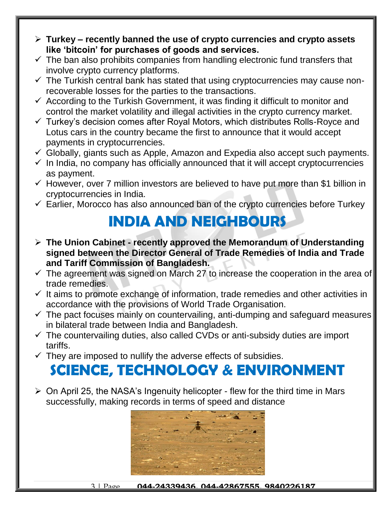- **Turkey – recently banned the use of crypto currencies and crypto assets like 'bitcoin' for purchases of goods and services.**
- $\checkmark$  The ban also prohibits companies from handling electronic fund transfers that involve crypto currency platforms.
- $\checkmark$  The Turkish central bank has stated that using cryptocurrencies may cause nonrecoverable losses for the parties to the transactions.
- $\checkmark$  According to the Turkish Government, it was finding it difficult to monitor and control the market volatility and illegal activities in the crypto currency market.
- $\checkmark$  Turkey's decision comes after Royal Motors, which distributes Rolls-Royce and Lotus cars in the country became the first to announce that it would accept payments in cryptocurrencies.
- $\checkmark$  Globally, giants such as Apple, Amazon and Expedia also accept such payments.
- $\checkmark$  In India, no company has officially announced that it will accept cryptocurrencies as payment.
- $\checkmark$  However, over 7 million investors are believed to have put more than \$1 billion in cryptocurrencies in India.
- $\checkmark$  Earlier, Morocco has also announced ban of the crypto currencies before Turkey

## **INDIA AND NEIGHBOURS**

- **The Union Cabinet - recently approved the Memorandum of Understanding signed between the Director General of Trade Remedies of India and Trade and Tariff Commission of Bangladesh.**
- $\checkmark$  The agreement was signed on March 27 to increase the cooperation in the area of trade remedies.
- $\checkmark$  It aims to promote exchange of information, trade remedies and other activities in accordance with the provisions of World Trade Organisation.
- $\checkmark$  The pact focuses mainly on countervailing, anti-dumping and safeguard measures in bilateral trade between India and Bangladesh.
- $\checkmark$  The countervailing duties, also called CVDs or anti-subsidy duties are import tariffs.
- $\checkmark$  They are imposed to nullify the adverse effects of subsidies.

## **SCIENCE, TECHNOLOGY & ENVIRONMENT**

 $\triangleright$  On April 25, the NASA's Ingenuity helicopter - flew for the third time in Mars successfully, making records in terms of speed and distance



3 | Page **044-24339436, 044-42867555, 9840226187**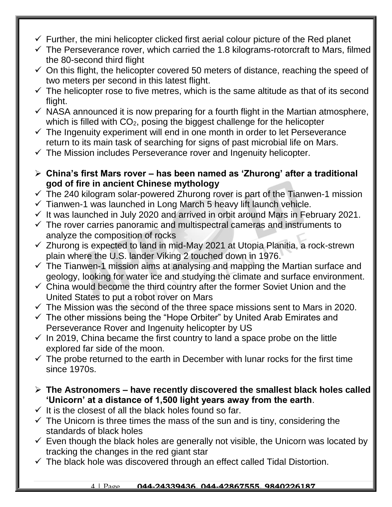- $\checkmark$  Further, the mini helicopter clicked first aerial colour picture of the Red planet
- $\checkmark$  The Perseverance rover, which carried the 1.8 kilograms-rotorcraft to Mars, filmed the 80-second third flight
- $\checkmark$  On this flight, the helicopter covered 50 meters of distance, reaching the speed of two meters per second in this latest flight.
- $\checkmark$  The helicopter rose to five metres, which is the same altitude as that of its second flight.
- $\checkmark$  NASA announced it is now preparing for a fourth flight in the Martian atmosphere, which is filled with  $CO<sub>2</sub>$ , posing the biggest challenge for the helicopter
- $\checkmark$  The Ingenuity experiment will end in one month in order to let Perseverance return to its main task of searching for signs of past microbial life on Mars.
- $\checkmark$  The Mission includes Perseverance rover and Ingenuity helicopter.
- **China's first Mars rover – has been named as 'Zhurong' after a traditional god of fire in ancient Chinese mythology**
- $\checkmark$  The 240 kilogram solar-powered Zhurong rover is part of the Tianwen-1 mission
- $\checkmark$  Tianwen-1 was launched in Long March 5 heavy lift launch vehicle.
- $\checkmark$  It was launched in July 2020 and arrived in orbit around Mars in February 2021.
- $\checkmark$  The rover carries panoramic and multispectral cameras and instruments to analyze the composition of rocks
- $\checkmark$  Zhurong is expected to land in mid-May 2021 at Utopia Planitia, a rock-strewn plain where the U.S. lander Viking 2 touched down in 1976.
- $\checkmark$  The Tianwen-1 mission aims at analysing and mapping the Martian surface and geology, looking for water ice and studying the climate and surface environment.
- $\checkmark$  China would become the third country after the former Soviet Union and the United States to put a robot rover on Mars
- $\checkmark$  The Mission was the second of the three space missions sent to Mars in 2020.
- $\checkmark$  The other missions being the "Hope Orbiter" by United Arab Emirates and Perseverance Rover and Ingenuity helicopter by US
- $\checkmark$  In 2019, China became the first country to land a space probe on the little explored far side of the moon.
- $\checkmark$  The probe returned to the earth in December with lunar rocks for the first time since 1970s.
- **The Astronomers – have recently discovered the smallest black holes called 'Unicorn' at a distance of 1,500 light years away from the earth**.
- $\checkmark$  It is the closest of all the black holes found so far.
- $\checkmark$  The Unicorn is three times the mass of the sun and is tiny, considering the standards of black holes
- $\checkmark$  Even though the black holes are generally not visible, the Unicorn was located by tracking the changes in the red giant star
- $\checkmark$  The black hole was discovered through an effect called Tidal Distortion.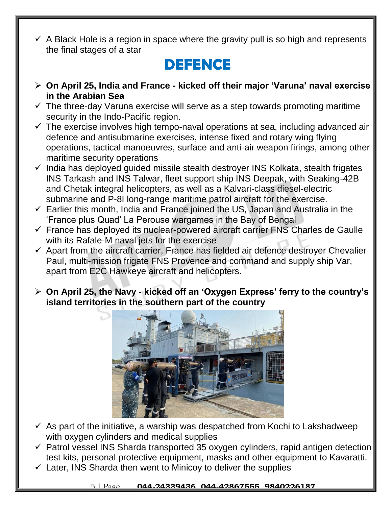$\checkmark$  A Black Hole is a region in space where the gravity pull is so high and represents the final stages of a star

## **DEFENCE**

- **On April 25, India and France - kicked off their major 'Varuna' naval exercise in the Arabian Sea**
- $\checkmark$  The three-day Varuna exercise will serve as a step towards promoting maritime security in the Indo-Pacific region.
- $\checkmark$  The exercise involves high tempo-naval operations at sea, including advanced air defence and antisubmarine exercises, intense fixed and rotary wing flying operations, tactical manoeuvres, surface and anti-air weapon firings, among other maritime security operations
- $\checkmark$  India has deployed guided missile stealth destroyer INS Kolkata, stealth frigates INS Tarkash and INS Talwar, fleet support ship INS Deepak, with Seaking-42B and Chetak integral helicopters, as well as a Kalvari-class diesel-electric submarine and P-8I long-range maritime patrol aircraft for the exercise.
- $\checkmark$  Earlier this month, India and France joined the US, Japan and Australia in the 'France plus Quad' La Perouse wargames in the Bay of Bengal
- $\checkmark$  France has deployed its nuclear-powered aircraft carrier FNS Charles de Gaulle with its Rafale-M naval jets for the exercise
- $\checkmark$  Apart from the aircraft carrier, France has fielded air defence destroyer Chevalier Paul, multi-mission frigate FNS Provence and command and supply ship Var, apart from E2C Hawkeye aircraft and helicopters.
- **On April 25, the Navy - kicked off an 'Oxygen Express' ferry to the country's island territories in the southern part of the country**



- $\checkmark$  As part of the initiative, a warship was despatched from Kochi to Lakshadweep with oxygen cylinders and medical supplies
- $\checkmark$  Patrol vessel INS Sharda transported 35 oxygen cylinders, rapid antigen detection test kits, personal protective equipment, masks and other equipment to Kavaratti.
- $\checkmark$  Later, INS Sharda then went to Minicoy to deliver the supplies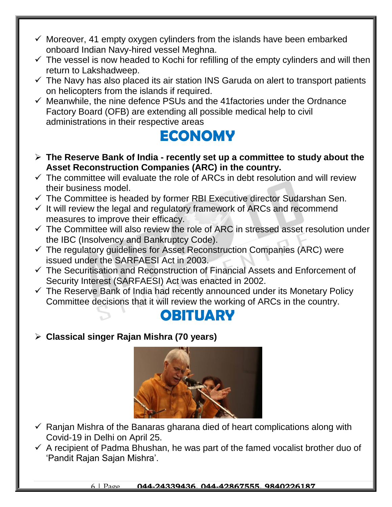- $\checkmark$  Moreover, 41 empty oxygen cylinders from the islands have been embarked onboard Indian Navy-hired vessel Meghna.
- $\checkmark$  The vessel is now headed to Kochi for refilling of the empty cylinders and will then return to Lakshadweep.
- $\checkmark$  The Navy has also placed its air station INS Garuda on alert to transport patients on helicopters from the islands if required.
- $\checkmark$  Meanwhile, the nine defence PSUs and the 41 factories under the Ordnance Factory Board (OFB) are extending all possible medical help to civil administrations in their respective areas

### **ECONOMY**

- **The Reserve Bank of India - recently set up a committee to study about the Asset Reconstruction Companies (ARC) in the country.**
- $\checkmark$  The committee will evaluate the role of ARCs in debt resolution and will review their business model.
- $\checkmark$  The Committee is headed by former RBI Executive director Sudarshan Sen.
- $\checkmark$  It will review the legal and regulatory framework of ARCs and recommend measures to improve their efficacy.
- $\checkmark$  The Committee will also review the role of ARC in stressed asset resolution under the IBC (Insolvency and Bankruptcy Code).
- $\checkmark$  The regulatory quidelines for Asset Reconstruction Companies (ARC) were issued under the SARFAESI Act in 2003.
- $\checkmark$  The Securitisation and Reconstruction of Financial Assets and Enforcement of Security Interest (SARFAESI) Act was enacted in 2002.
- $\checkmark$  The Reserve Bank of India had recently announced under its Monetary Policy Committee decisions that it will review the working of ARCs in the country.



**Classical singer Rajan Mishra (70 years)**



- $\checkmark$  Ranjan Mishra of the Banaras gharana died of heart complications along with Covid-19 in Delhi on April 25.
- $\checkmark$  A recipient of Padma Bhushan, he was part of the famed vocalist brother duo of 'Pandit Rajan Sajan Mishra'.

6 | Page **044-24339436, 044-42867555, 9840226187**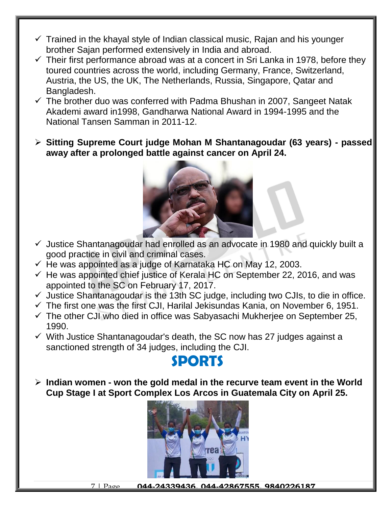- $\checkmark$  Trained in the khayal style of Indian classical music, Rajan and his younger brother Sajan performed extensively in India and abroad.
- $\checkmark$  Their first performance abroad was at a concert in Sri Lanka in 1978, before they toured countries across the world, including Germany, France, Switzerland, Austria, the US, the UK, The Netherlands, Russia, Singapore, Qatar and Bangladesh.
- $\checkmark$  The brother duo was conferred with Padma Bhushan in 2007, Sangeet Natak Akademi award in1998, Gandharwa National Award in 1994-1995 and the National Tansen Samman in 2011-12.
- **Sitting Supreme Court judge Mohan M Shantanagoudar (63 years) - passed away after a prolonged battle against cancer on April 24.**



- $\checkmark$  Justice Shantanagoudar had enrolled as an advocate in 1980 and quickly built a good practice in civil and criminal cases.
- $\checkmark$  He was appointed as a judge of Karnataka HC on May 12, 2003.
- $\checkmark$  He was appointed chief justice of Kerala HC on September 22, 2016, and was appointed to the SC on February 17, 2017.
- $\checkmark$  Justice Shantanagoudar is the 13th SC judge, including two CJIs, to die in office.
- $\checkmark$  The first one was the first CJI, Harilal Jekisundas Kania, on November 6, 1951.
- $\checkmark$  The other CJI who died in office was Sabyasachi Mukherjee on September 25, 1990.
- $\checkmark$  With Justice Shantanagoudar's death, the SC now has 27 judges against a sanctioned strength of 34 judges, including the CJI.

### **SPORTS**

 **Indian women - won the gold medal in the recurve team event in the World Cup Stage I at Sport Complex Los Arcos in Guatemala City on April 25.**



7 | Page **044-24339436, 044-42867555, 9840226187**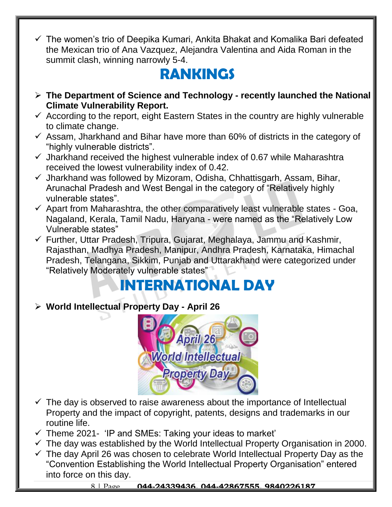$\checkmark$  The women's trio of Deepika Kumari, Ankita Bhakat and Komalika Bari defeated the Mexican trio of Ana Vazquez, Alejandra Valentina and Aida Roman in the summit clash, winning narrowly 5-4.

## **RANKINGS**

- **The Department of Science and Technology - recently launched the National Climate Vulnerability Report.**
- $\checkmark$  According to the report, eight Eastern States in the country are highly vulnerable to climate change.
- $\checkmark$  Assam, Jharkhand and Bihar have more than 60% of districts in the category of "highly vulnerable districts".
- $\checkmark$  Jharkhand received the highest vulnerable index of 0.67 while Maharashtra received the lowest vulnerability index of 0.42.
- $\checkmark$  Jharkhand was followed by Mizoram, Odisha, Chhattisgarh, Assam, Bihar, Arunachal Pradesh and West Bengal in the category of "Relatively highly vulnerable states".
- $\checkmark$  Apart from Maharashtra, the other comparatively least vulnerable states Goa, Nagaland, Kerala, Tamil Nadu, Haryana - were named as the "Relatively Low Vulnerable states"
- $\checkmark$  Further, Uttar Pradesh, Tripura, Gujarat, Meghalaya, Jammu and Kashmir, Rajasthan, Madhya Pradesh, Manipur, Andhra Pradesh, Karnataka, Himachal Pradesh, Telangana, Sikkim, Punjab and Uttarakhand were categorized under "Relatively Moderately vulnerable states"

## **INTERNATIONAL DAY**

#### **World Intellectual Property Day - April 26**



- $\checkmark$  The day is observed to raise awareness about the importance of Intellectual Property and the impact of copyright, patents, designs and trademarks in our routine life.
- $\checkmark$  Theme 2021- 'IP and SMEs: Taking your ideas to market'
- $\checkmark$  The day was established by the World Intellectual Property Organisation in 2000.
- $\checkmark$  The day April 26 was chosen to celebrate World Intellectual Property Day as the "Convention Establishing the World Intellectual Property Organisation" entered into force on this day.